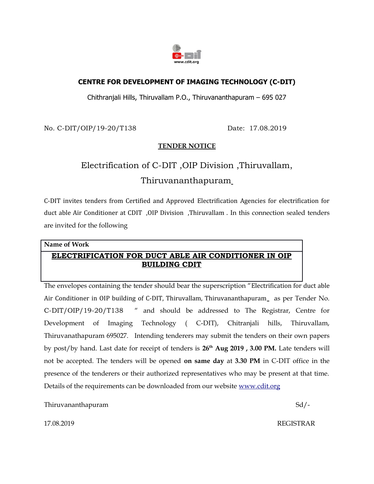

## **CENTRE FOR DEVELOPMENT OF IMAGING TECHNOLOGY (C-DIT)**

Chithranjali Hills, Thiruvallam P.O., Thiruvananthapuram – 695 027

No. C-DIT/OIP/19-20/T138 Date: 17.08.2019

#### **TENDER NOTICE**

# Electrification of C-DIT ,OIP Division ,Thiruvallam, Thiruvananthapuram

C-DIT invites tenders from Certified and Approved Electrification Agencies for electrification for duct able Air Conditioner at CDIT ,OIP Division ,Thiruvallam . In this connection sealed tenders are invited for the following

#### **Name of Work**

# **ELECTRIFICATION FOR DUCT ABLE AIR CONDITIONER IN OIP BUILDING CDIT**

The envelopes containing the tender should bear the superscription "Electrification for duct able Air Conditioner in OIP building of C-DIT, Thiruvallam, Thiruvananthapuram as per Tender No. C-DIT/OIP/19-20/T138 " and should be addressed to The Registrar, Centre for Development of Imaging Technology ( C-DIT), Chitranjali hills, Thiruvallam, Thiruvanathapuram 695027. Intending tenderers may submit the tenders on their own papers by post/by hand. Last date for receipt of tenders is **26th Aug 2019 , 3.00 PM.** Late tenders will not be accepted. The tenders will be opened **on same day** at **3.30 PM** in C-DIT office in the presence of the tenderers or their authorized representatives who may be present at that time. Details of the requirements can be downloaded from our website [www.cdit.org](http://www.cdit.org/)

Thiruvananthapuram Sd/-

17.08.2019 REGISTRAR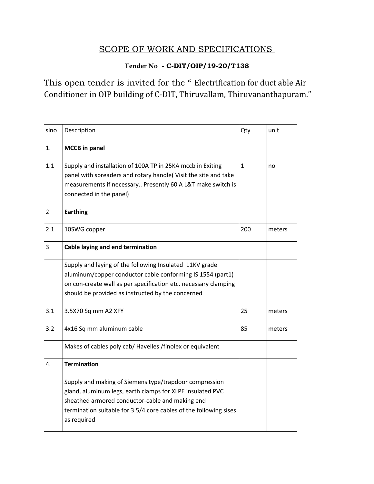# SCOPE OF WORK AND SPECIFICATIONS

## **Tender No - C-DIT/OIP/19-20/T138**

This open tender is invited for the " Electrification for duct able Air Conditioner in OIP building of C-DIT, Thiruvallam, Thiruvananthapuram."

| slno | Description                                                                                                                                                                                                                                                | Qty          | unit   |
|------|------------------------------------------------------------------------------------------------------------------------------------------------------------------------------------------------------------------------------------------------------------|--------------|--------|
| 1.   | <b>MCCB</b> in panel                                                                                                                                                                                                                                       |              |        |
| 1.1  | Supply and installation of 100A TP in 25KA mccb in Exiting<br>panel with spreaders and rotary handle(Visit the site and take<br>measurements if necessary Presently 60 A L&T make switch is<br>connected in the panel)                                     | $\mathbf{1}$ | no     |
| 2    | <b>Earthing</b>                                                                                                                                                                                                                                            |              |        |
| 2.1  | 10SWG copper                                                                                                                                                                                                                                               | 200          | meters |
| 3    | Cable laying and end termination                                                                                                                                                                                                                           |              |        |
|      | Supply and laying of the following Insulated 11KV grade<br>aluminum/copper conductor cable conforming IS 1554 (part1)<br>on con-create wall as per specification etc. necessary clamping<br>should be provided as instructed by the concerned              |              |        |
| 3.1  | 3.5X70 Sq mm A2 XFY                                                                                                                                                                                                                                        | 25           | meters |
| 3.2  | 4x16 Sq mm aluminum cable                                                                                                                                                                                                                                  | 85           | meters |
|      | Makes of cables poly cab/ Havelles /finolex or equivalent                                                                                                                                                                                                  |              |        |
| 4.   | <b>Termination</b>                                                                                                                                                                                                                                         |              |        |
|      | Supply and making of Siemens type/trapdoor compression<br>gland, aluminum legs, earth clamps for XLPE insulated PVC<br>sheathed armored conductor-cable and making end<br>termination suitable for 3.5/4 core cables of the following sises<br>as required |              |        |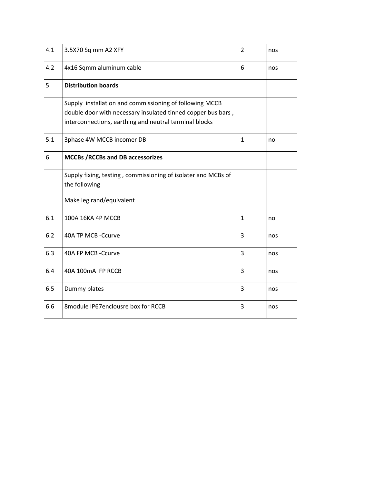| 4.1 | 3.5X70 Sq mm A2 XFY                                           | $\overline{2}$ | nos |
|-----|---------------------------------------------------------------|----------------|-----|
| 4.2 | 4x16 Sqmm aluminum cable                                      | 6              | nos |
| 5   | <b>Distribution boards</b>                                    |                |     |
|     | Supply installation and commissioning of following MCCB       |                |     |
|     | double door with necessary insulated tinned copper bus bars,  |                |     |
|     | interconnections, earthing and neutral terminal blocks        |                |     |
| 5.1 | 3phase 4W MCCB incomer DB                                     | $\mathbf{1}$   | no  |
| 6   | <b>MCCBs /RCCBs and DB accessorizes</b>                       |                |     |
|     | Supply fixing, testing, commissioning of isolater and MCBs of |                |     |
|     | the following                                                 |                |     |
|     | Make leg rand/equivalent                                      |                |     |
| 6.1 | 100A 16KA 4P MCCB                                             | 1              | no  |
| 6.2 | 40A TP MCB -Ccurve                                            | 3              | nos |
| 6.3 | 40A FP MCB -Ccurve                                            | 3              | nos |
| 6.4 | 40A 100mA FP RCCB                                             | 3              | nos |
| 6.5 | Dummy plates                                                  | 3              | nos |
| 6.6 | 8module IP67enclousre box for RCCB                            | 3              | nos |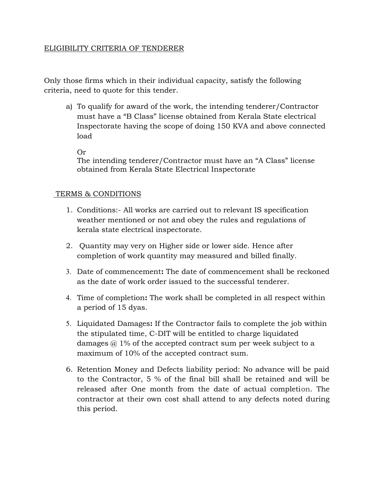#### ELIGIBILITY CRITERIA OF TENDERER

Only those firms which in their individual capacity, satisfy the following criteria, need to quote for this tender.

a) To qualify for award of the work, the intending tenderer/Contractor must have a "B Class" license obtained from Kerala State electrical Inspectorate having the scope of doing 150 KVA and above connected load

Or

The intending tenderer/Contractor must have an "A Class" license obtained from Kerala State Electrical Inspectorate

#### TERMS & CONDITIONS

- 1. Conditions:- All works are carried out to relevant IS specification weather mentioned or not and obey the rules and regulations of kerala state electrical inspectorate.
- 2. Quantity may very on Higher side or lower side. Hence after completion of work quantity may measured and billed finally.
- 3. Date of commencement**:** The date of commencement shall be reckoned as the date of work order issued to the successful tenderer.
- 4. Time of completion**:** The work shall be completed in all respect within a period of 15 dyas.
- 5. Liquidated Damages**:** If the Contractor fails to complete the job within the stipulated time, C-DIT will be entitled to charge liquidated damages  $\omega$  1% of the accepted contract sum per week subject to a maximum of 10% of the accepted contract sum.
- 6. Retention Money and Defects liability period: No advance will be paid to the Contractor, 5 % of the final bill shall be retained and will be released after One month from the date of actual completion. The contractor at their own cost shall attend to any defects noted during this period.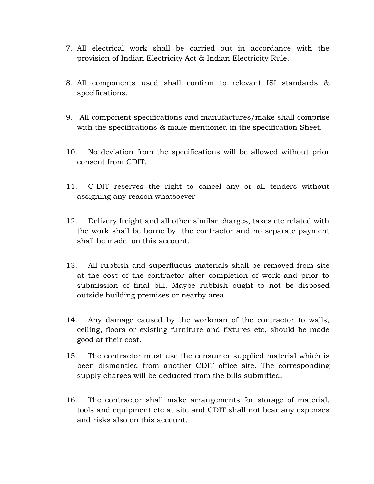- 7. All electrical work shall be carried out in accordance with the provision of Indian Electricity Act & Indian Electricity Rule.
- 8. All components used shall confirm to relevant ISI standards & specifications.
- 9. All component specifications and manufactures/make shall comprise with the specifications & make mentioned in the specification Sheet.
- 10. No deviation from the specifications will be allowed without prior consent from CDIT.
- 11. C-DIT reserves the right to cancel any or all tenders without assigning any reason whatsoever
- 12. Delivery freight and all other similar charges, taxes etc related with the work shall be borne by the contractor and no separate payment shall be made on this account.
- 13. All rubbish and superfluous materials shall be removed from site at the cost of the contractor after completion of work and prior to submission of final bill. Maybe rubbish ought to not be disposed outside building premises or nearby area.
- 14. Any damage caused by the workman of the contractor to walls, ceiling, floors or existing furniture and fixtures etc, should be made good at their cost.
- 15. The contractor must use the consumer supplied material which is been dismantled from another CDIT office site. The corresponding supply charges will be deducted from the bills submitted.
- 16. The contractor shall make arrangements for storage of material, tools and equipment etc at site and CDIT shall not bear any expenses and risks also on this account.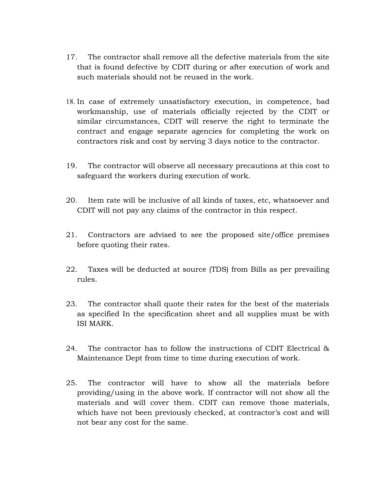- 17. The contractor shall remove all the defective materials from the site that is found defective by CDIT during or after execution of work and such materials should not be reused in the work.
- 18. In case of extremely unsatisfactory execution, in competence, bad workmanship, use of materials officially rejected by the CDIT or similar circumstances, CDIT will reserve the right to terminate the contract and engage separate agencies for completing the work on contractors risk and cost by serving 3 days notice to the contractor.
- 19. The contractor will observe all necessary precautions at this cost to safeguard the workers during execution of work.
- 20. Item rate will be inclusive of all kinds of taxes, etc, whatsoever and CDIT will not pay any claims of the contractor in this respect.
- 21. Contractors are advised to see the proposed site/office premises before quoting their rates.
- 22. Taxes will be deducted at source (TDS) from Bills as per prevailing rules.
- 23. The contractor shall quote their rates for the best of the materials as specified In the specification sheet and all supplies must be with ISI MARK.
- 24. The contractor has to follow the instructions of CDIT Electrical & Maintenance Dept from time to time during execution of work.
- 25. The contractor will have to show all the materials before providing/using in the above work. If contractor will not show all the materials and will cover them. CDIT can remove those materials, which have not been previously checked, at contractor's cost and will not bear any cost for the same.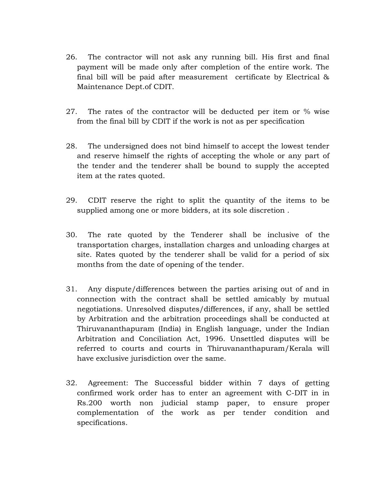- 26. The contractor will not ask any running bill. His first and final payment will be made only after completion of the entire work. The final bill will be paid after measurement certificate by Electrical & Maintenance Dept.of CDIT.
- 27. The rates of the contractor will be deducted per item or % wise from the final bill by CDIT if the work is not as per specification
- 28. The undersigned does not bind himself to accept the lowest tender and reserve himself the rights of accepting the whole or any part of the tender and the tenderer shall be bound to supply the accepted item at the rates quoted.
- 29. CDIT reserve the right to split the quantity of the items to be supplied among one or more bidders, at its sole discretion .
- 30. The rate quoted by the Tenderer shall be inclusive of the transportation charges, installation charges and unloading charges at site. Rates quoted by the tenderer shall be valid for a period of six months from the date of opening of the tender.
- 31. Any dispute/differences between the parties arising out of and in connection with the contract shall be settled amicably by mutual negotiations. Unresolved disputes/differences, if any, shall be settled by Arbitration and the arbitration proceedings shall be conducted at Thiruvananthapuram (India) in English language, under the Indian Arbitration and Conciliation Act, 1996. Unsettled disputes will be referred to courts and courts in Thiruvananthapuram/Kerala will have exclusive jurisdiction over the same.
- 32. Agreement: The Successful bidder within 7 days of getting confirmed work order has to enter an agreement with C-DIT in in Rs.200 worth non judicial stamp paper, to ensure proper complementation of the work as per tender condition and specifications.